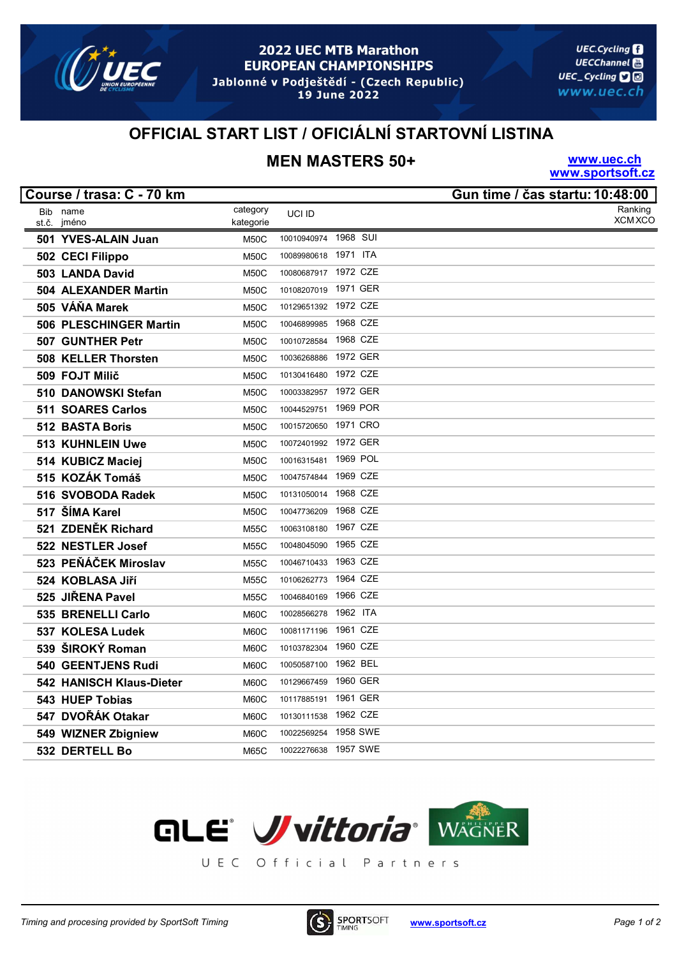

#### **2022 UEC MTB Marathon EUROPEAN CHAMPIONSHIPS** Jablonné v Podještědí - (Czech Republic)

19 June 2022

**UEC.Cycling UECChannel** UEC\_Cycling **口**回 www.uec.ch

### OFFICIAL START LIST / OFICIÁLNÍ STARTOVNÍ LISTINA

# MEN MASTERS 50+

www.uec.ch www.sportsoft.cz

| Course / trasa: C - 70 km   |             |                      |          | Gun time / čas startu: 10:48:00 |
|-----------------------------|-------------|----------------------|----------|---------------------------------|
| Bib name                    | category    | UCI ID               |          | Ranking                         |
| jméno<br>st.č.              | kategorie   |                      |          | <b>XCM XCO</b>                  |
| 501 YVES-ALAIN Juan         | <b>M50C</b> | 10010940974          | 1968 SUI |                                 |
| 502 CECI Filippo            | <b>M50C</b> | 10089980618          | 1971 ITA |                                 |
| 503 LANDA David             | <b>M50C</b> | 10080687917          | 1972 CZE |                                 |
| <b>504 ALEXANDER Martin</b> | <b>M50C</b> | 10108207019          | 1971 GER |                                 |
| 505 VÁŇA Marek              | <b>M50C</b> | 10129651392          | 1972 CZE |                                 |
| 506 PLESCHINGER Martin      | <b>M50C</b> | 10046899985          | 1968 CZE |                                 |
| 507 GUNTHER Petr            | <b>M50C</b> | 10010728584          | 1968 CZE |                                 |
| 508 KELLER Thorsten         | <b>M50C</b> | 10036268886          | 1972 GER |                                 |
| 509 FOJT Milič              | <b>M50C</b> | 10130416480          | 1972 CZE |                                 |
| 510 DANOWSKI Stefan         | M50C        | 10003382957          | 1972 GER |                                 |
| 511 SOARES Carlos           | <b>M50C</b> | 10044529751          | 1969 POR |                                 |
| 512 BASTA Boris             | <b>M50C</b> | 10015720650          | 1971 CRO |                                 |
| 513 KUHNLEIN Uwe            | <b>M50C</b> | 10072401992          | 1972 GER |                                 |
| 514 KUBICZ Maciej           | <b>M50C</b> | 10016315481          | 1969 POL |                                 |
| 515 KOZÁK Tomáš             | <b>M50C</b> | 10047574844 1969 CZE |          |                                 |
| 516 SVOBODA Radek           | <b>M50C</b> | 10131050014 1968 CZE |          |                                 |
| 517 ŠÍMA Karel              | <b>M50C</b> | 10047736209          | 1968 CZE |                                 |
| 521 ZDENĚK Richard          | <b>M55C</b> | 10063108180          | 1967 CZE |                                 |
| 522 NESTLER Josef           | <b>M55C</b> | 10048045090          | 1965 CZE |                                 |
| 523 PEŇÁČEK Miroslav        | <b>M55C</b> | 10046710433          | 1963 CZE |                                 |
| 524 KOBLASA Jiří            | <b>M55C</b> | 10106262773          | 1964 CZE |                                 |
| 525 JIŘENA Pavel            | <b>M55C</b> | 10046840169          | 1966 CZE |                                 |
| 535 BRENELLI Carlo          | M60C        | 10028566278          | 1962 ITA |                                 |
| 537 KOLESA Ludek            | <b>M60C</b> | 10081171196          | 1961 CZE |                                 |
| 539 ŠIROKÝ Roman            | <b>M60C</b> | 10103782304          | 1960 CZE |                                 |
| 540 GEENTJENS Rudi          | M60C        | 10050587100          | 1962 BEL |                                 |
| 542 HANISCH Klaus-Dieter    | M60C        | 10129667459          | 1960 GER |                                 |
| 543 HUEP Tobias             | M60C        | 10117885191          | 1961 GER |                                 |
| 547 DVOŘÁK Otakar           | M60C        | 10130111538          | 1962 CZE |                                 |
| 549 WIZNER Zbigniew         | M60C        | 10022569254          | 1958 SWE |                                 |
| 532 DERTELL Bo              | <b>M65C</b> | 10022276638          | 1957 SWE |                                 |



UEC Official Partners